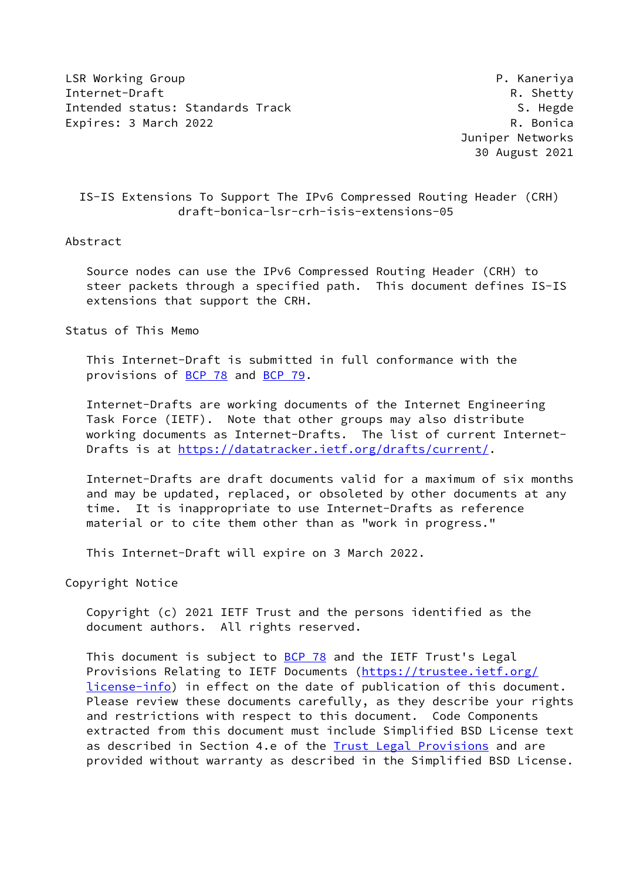LSR Working Group **P. America** P. Kaneriya Internet-Draft Resource R. Shetty Intended status: Standards Track S. Hegde S. Hegde Expires: 3 March 2022 R. Bonica

 Juniper Networks 30 August 2021

# IS-IS Extensions To Support The IPv6 Compressed Routing Header (CRH) draft-bonica-lsr-crh-isis-extensions-05

### Abstract

 Source nodes can use the IPv6 Compressed Routing Header (CRH) to steer packets through a specified path. This document defines IS-IS extensions that support the CRH.

Status of This Memo

 This Internet-Draft is submitted in full conformance with the provisions of [BCP 78](https://datatracker.ietf.org/doc/pdf/bcp78) and [BCP 79](https://datatracker.ietf.org/doc/pdf/bcp79).

 Internet-Drafts are working documents of the Internet Engineering Task Force (IETF). Note that other groups may also distribute working documents as Internet-Drafts. The list of current Internet- Drafts is at<https://datatracker.ietf.org/drafts/current/>.

 Internet-Drafts are draft documents valid for a maximum of six months and may be updated, replaced, or obsoleted by other documents at any time. It is inappropriate to use Internet-Drafts as reference material or to cite them other than as "work in progress."

This Internet-Draft will expire on 3 March 2022.

Copyright Notice

 Copyright (c) 2021 IETF Trust and the persons identified as the document authors. All rights reserved.

This document is subject to  $BCP$  78 and the IETF Trust's Legal Provisions Relating to IETF Documents ([https://trustee.ietf.org/](https://trustee.ietf.org/license-info) [license-info](https://trustee.ietf.org/license-info)) in effect on the date of publication of this document. Please review these documents carefully, as they describe your rights and restrictions with respect to this document. Code Components extracted from this document must include Simplified BSD License text as described in Section 4.e of the **[Trust Legal Provisions](https://trustee.ietf.org/license-info)** and are provided without warranty as described in the Simplified BSD License.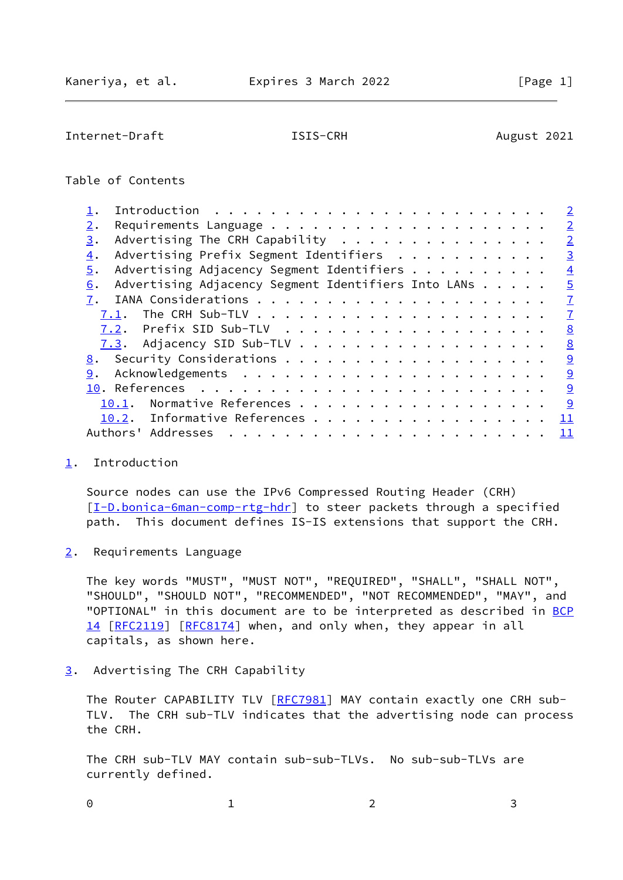<span id="page-1-1"></span>Internet-Draft **ISIS-CRH** August 2021

### Table of Contents

|                                                           | $\overline{2}$ |
|-----------------------------------------------------------|----------------|
| 2.                                                        | $\overline{2}$ |
| Advertising The CRH Capability<br>3.                      | $\overline{2}$ |
| Advertising Prefix Segment Identifiers<br>4.              | $\overline{3}$ |
| Advertising Adjacency Segment Identifiers<br>5.           | $\overline{4}$ |
| Advertising Adjacency Segment Identifiers Into LANs<br>6. | $\overline{5}$ |
|                                                           | $\overline{1}$ |
| 7.1.                                                      | $\mathbf{Z}$   |
|                                                           | 8              |
|                                                           | 8              |
|                                                           | $\overline{9}$ |
| 9.                                                        | 9              |
|                                                           | 9              |
| Normative References<br>10.1.                             | <u>  ୨</u>     |
| 10.2. Informative References                              | 11             |
| Addresses<br>Authors'                                     | 11             |
|                                                           |                |

### <span id="page-1-0"></span>[1](#page-1-0). Introduction

 Source nodes can use the IPv6 Compressed Routing Header (CRH) [\[I-D.bonica-6man-comp-rtg-hdr](#page-9-5)] to steer packets through a specified path. This document defines IS-IS extensions that support the CRH.

<span id="page-1-2"></span>[2](#page-1-2). Requirements Language

 The key words "MUST", "MUST NOT", "REQUIRED", "SHALL", "SHALL NOT", "SHOULD", "SHOULD NOT", "RECOMMENDED", "NOT RECOMMENDED", "MAY", and "OPTIONAL" in this document are to be interpreted as described in [BCP](https://datatracker.ietf.org/doc/pdf/bcp14) [14](https://datatracker.ietf.org/doc/pdf/bcp14) [[RFC2119\]](https://datatracker.ietf.org/doc/pdf/rfc2119) [\[RFC8174](https://datatracker.ietf.org/doc/pdf/rfc8174)] when, and only when, they appear in all capitals, as shown here.

<span id="page-1-3"></span>[3](#page-1-3). Advertising The CRH Capability

The Router CAPABILITY TLV [[RFC7981](https://datatracker.ietf.org/doc/pdf/rfc7981)] MAY contain exactly one CRH sub- TLV. The CRH sub-TLV indicates that the advertising node can process the CRH.

 The CRH sub-TLV MAY contain sub-sub-TLVs. No sub-sub-TLVs are currently defined.

0 1 2 3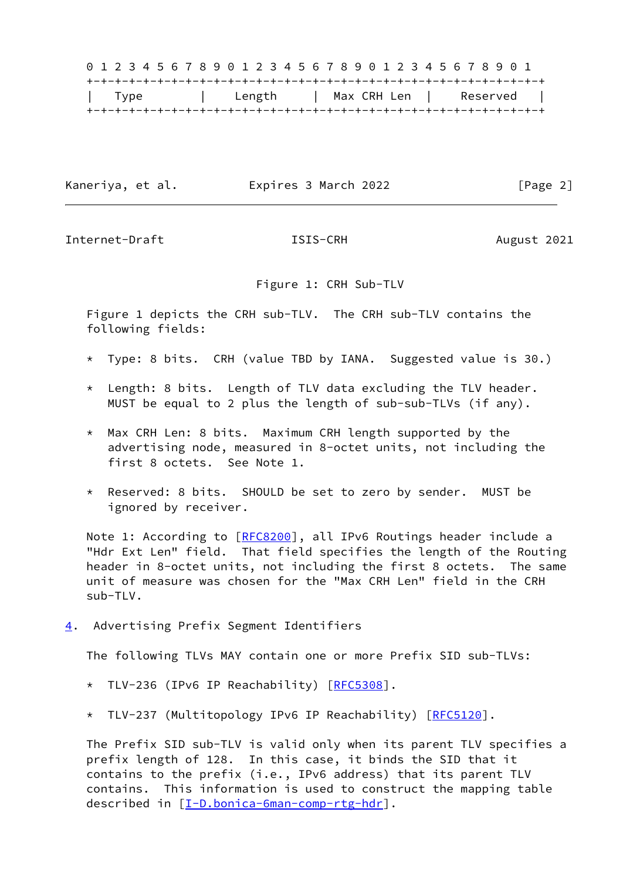0 1 2 3 4 5 6 7 8 9 0 1 2 3 4 5 6 7 8 9 0 1 2 3 4 5 6 7 8 9 0 1 +-+-+-+-+-+-+-+-+-+-+-+-+-+-+-+-+-+-+-+-+-+-+-+-+-+-+-+-+-+-+-+-+ | Type | Length | Max CRH Len | Reserved | +-+-+-+-+-+-+-+-+-+-+-+-+-+-+-+-+-+-+-+-+-+-+-+-+-+-+-+-+-+-+-+-+

Kaneriya, et al. Expires 3 March 2022 [Page 2]

<span id="page-2-1"></span>Internet-Draft **ISIS-CRH ISIS-CRH** August 2021

Figure 1: CRH Sub-TLV

 Figure 1 depicts the CRH sub-TLV. The CRH sub-TLV contains the following fields:

- \* Type: 8 bits. CRH (value TBD by IANA. Suggested value is 30.)
- \* Length: 8 bits. Length of TLV data excluding the TLV header. MUST be equal to 2 plus the length of sub-sub-TLVs (if any).
- \* Max CRH Len: 8 bits. Maximum CRH length supported by the advertising node, measured in 8-octet units, not including the first 8 octets. See Note 1.
- \* Reserved: 8 bits. SHOULD be set to zero by sender. MUST be ignored by receiver.

Note 1: According to [\[RFC8200](https://datatracker.ietf.org/doc/pdf/rfc8200)], all IPv6 Routings header include a "Hdr Ext Len" field. That field specifies the length of the Routing header in 8-octet units, not including the first 8 octets. The same unit of measure was chosen for the "Max CRH Len" field in the CRH  $sub-TIV$ .

<span id="page-2-0"></span>[4](#page-2-0). Advertising Prefix Segment Identifiers

The following TLVs MAY contain one or more Prefix SID sub-TLVs:

- \* TLV-236 (IPv6 IP Reachability) [[RFC5308](https://datatracker.ietf.org/doc/pdf/rfc5308)].
- \* TLV-237 (Multitopology IPv6 IP Reachability) [\[RFC5120](https://datatracker.ietf.org/doc/pdf/rfc5120)].

 The Prefix SID sub-TLV is valid only when its parent TLV specifies a prefix length of 128. In this case, it binds the SID that it contains to the prefix (i.e., IPv6 address) that its parent TLV contains. This information is used to construct the mapping table described in [\[I-D.bonica-6man-comp-rtg-hdr](#page-9-5)].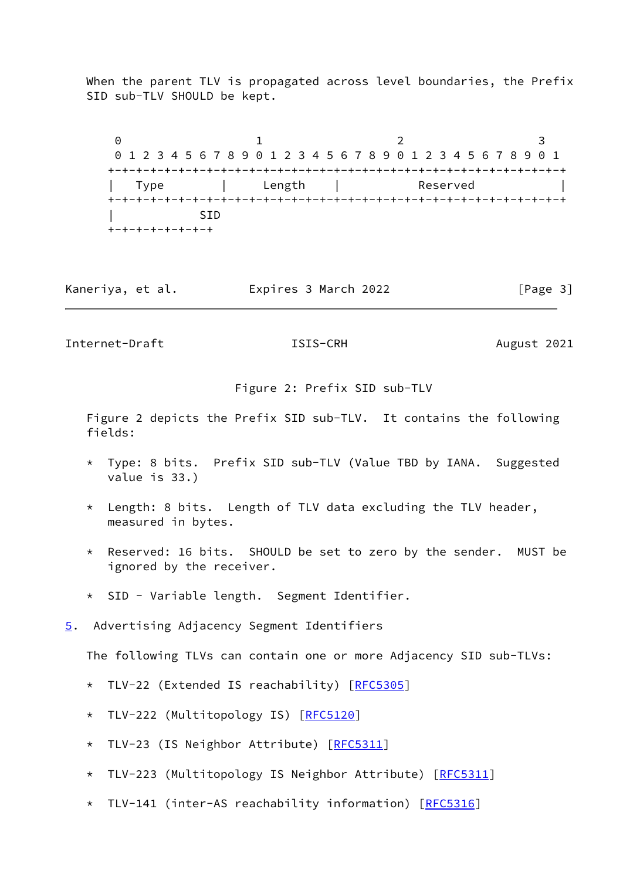When the parent TLV is propagated across level boundaries, the Prefix SID sub-TLV SHOULD be kept.

0 1 2 3 0 1 2 3 4 5 6 7 8 9 0 1 2 3 4 5 6 7 8 9 0 1 2 3 4 5 6 7 8 9 0 1 +-+-+-+-+-+-+-+-+-+-+-+-+-+-+-+-+-+-+-+-+-+-+-+-+-+-+-+-+-+-+-+-+ Type | Length | Reserved | +-+-+-+-+-+-+-+-+-+-+-+-+-+-+-+-+-+-+-+-+-+-+-+-+-+-+-+-+-+-+-+-+ | SID +-+-+-+-+-+-+-+

| Kaneriya, et al. | Expires 3 March 2022 | [Page 3] |
|------------------|----------------------|----------|
|------------------|----------------------|----------|

<span id="page-3-1"></span>Internet-Draft **ISIS-CRH** August 2021

Figure 2: Prefix SID sub-TLV

 Figure 2 depicts the Prefix SID sub-TLV. It contains the following fields:

- Type: 8 bits. Prefix SID sub-TLV (Value TBD by IANA. Suggested value is 33.)
- \* Length: 8 bits. Length of TLV data excluding the TLV header, measured in bytes.
- \* Reserved: 16 bits. SHOULD be set to zero by the sender. MUST be ignored by the receiver.
- \* SID Variable length. Segment Identifier.
- <span id="page-3-0"></span>[5](#page-3-0). Advertising Adjacency Segment Identifiers

The following TLVs can contain one or more Adjacency SID sub-TLVs:

- \* TLV-22 (Extended IS reachability) [\[RFC5305](https://datatracker.ietf.org/doc/pdf/rfc5305)]
- \* TLV-222 (Multitopology IS) [[RFC5120](https://datatracker.ietf.org/doc/pdf/rfc5120)]
- \* TLV-23 (IS Neighbor Attribute) [[RFC5311](https://datatracker.ietf.org/doc/pdf/rfc5311)]
- \* TLV-223 (Multitopology IS Neighbor Attribute) [\[RFC5311](https://datatracker.ietf.org/doc/pdf/rfc5311)]
- \* TLV-141 (inter-AS reachability information) [\[RFC5316](https://datatracker.ietf.org/doc/pdf/rfc5316)]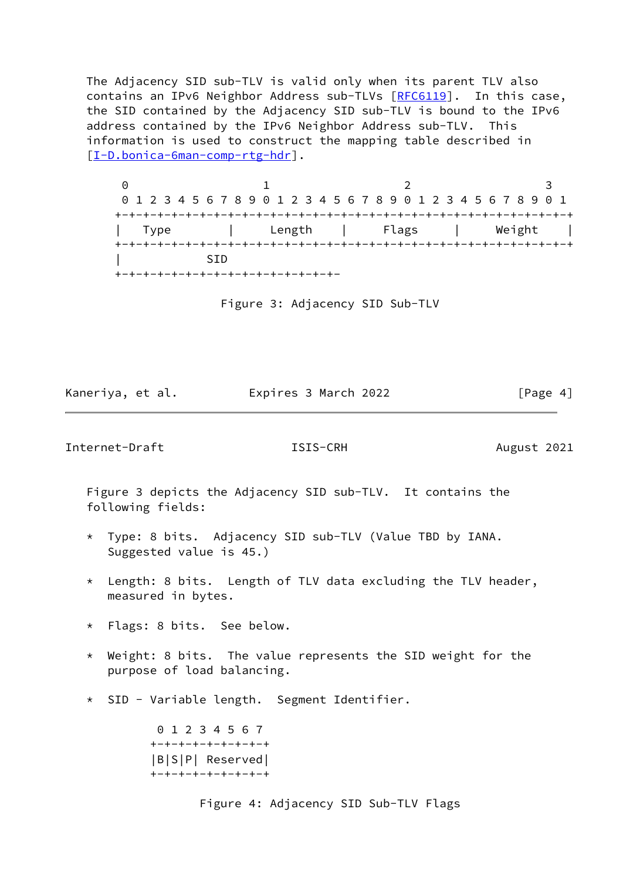The Adjacency SID sub-TLV is valid only when its parent TLV also contains an IPv6 Neighbor Address sub-TLVs [[RFC6119\]](https://datatracker.ietf.org/doc/pdf/rfc6119). In this case, the SID contained by the Adjacency SID sub-TLV is bound to the IPv6 address contained by the IPv6 Neighbor Address sub-TLV. This information is used to construct the mapping table described in [\[I-D.bonica-6man-comp-rtg-hdr](#page-9-5)].

 $0$  1 2 3 0 1 2 3 4 5 6 7 8 9 0 1 2 3 4 5 6 7 8 9 0 1 2 3 4 5 6 7 8 9 0 1 +-+-+-+-+-+-+-+-+-+-+-+-+-+-+-+-+-+-+-+-+-+-+-+-+-+-+-+-+-+-+-+-+ | Type | Length | Flags | Weight | +-+-+-+-+-+-+-+-+-+-+-+-+-+-+-+-+-+-+-+-+-+-+-+-+-+-+-+-+-+-+-+-+ | SID +-+-+-+-+-+-+-+-+-+-+-+-+-+-+-+-

Figure 3: Adjacency SID Sub-TLV

Kaneriya, et al. Expires 3 March 2022 [Page 4]

<span id="page-4-0"></span>Internet-Draft **ISIS-CRH ISIS-CRH** August 2021

 Figure 3 depicts the Adjacency SID sub-TLV. It contains the following fields:

- \* Type: 8 bits. Adjacency SID sub-TLV (Value TBD by IANA. Suggested value is 45.)
- \* Length: 8 bits. Length of TLV data excluding the TLV header, measured in bytes.
- \* Flags: 8 bits. See below.
- \* Weight: 8 bits. The value represents the SID weight for the purpose of load balancing.
- \* SID Variable length. Segment Identifier.

 0 1 2 3 4 5 6 7 +-+-+-+-+-+-+-+-+ |B|S|P| Reserved| +-+-+-+-+-+-+-+-+

Figure 4: Adjacency SID Sub-TLV Flags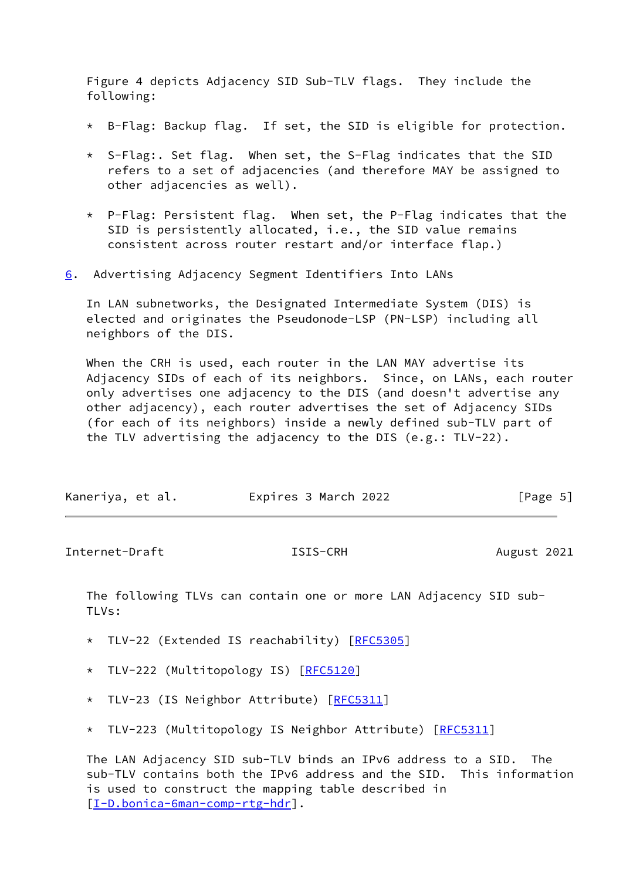Figure 4 depicts Adjacency SID Sub-TLV flags. They include the following:

- \* B-Flag: Backup flag. If set, the SID is eligible for protection.
- \* S-Flag:. Set flag. When set, the S-Flag indicates that the SID refers to a set of adjacencies (and therefore MAY be assigned to other adjacencies as well).
- \* P-Flag: Persistent flag. When set, the P-Flag indicates that the SID is persistently allocated, i.e., the SID value remains consistent across router restart and/or interface flap.)
- <span id="page-5-0"></span>[6](#page-5-0). Advertising Adjacency Segment Identifiers Into LANs

 In LAN subnetworks, the Designated Intermediate System (DIS) is elected and originates the Pseudonode-LSP (PN-LSP) including all neighbors of the DIS.

 When the CRH is used, each router in the LAN MAY advertise its Adjacency SIDs of each of its neighbors. Since, on LANs, each router only advertises one adjacency to the DIS (and doesn't advertise any other adjacency), each router advertises the set of Adjacency SIDs (for each of its neighbors) inside a newly defined sub-TLV part of the TLV advertising the adjacency to the DIS (e.g.: TLV-22).

| Kaneriya, et al. | Expires 3 March 2022 | [Page 5] |
|------------------|----------------------|----------|
|------------------|----------------------|----------|

Internet-Draft **ISIS-CRH ISIS-CRH** August 2021

 The following TLVs can contain one or more LAN Adjacency SID sub- TLVs:

- \* TLV-22 (Extended IS reachability) [\[RFC5305](https://datatracker.ietf.org/doc/pdf/rfc5305)]
- \* TLV-222 (Multitopology IS) [[RFC5120](https://datatracker.ietf.org/doc/pdf/rfc5120)]
- \* TLV-23 (IS Neighbor Attribute) [[RFC5311](https://datatracker.ietf.org/doc/pdf/rfc5311)]
- \* TLV-223 (Multitopology IS Neighbor Attribute) [\[RFC5311](https://datatracker.ietf.org/doc/pdf/rfc5311)]

 The LAN Adjacency SID sub-TLV binds an IPv6 address to a SID. The sub-TLV contains both the IPv6 address and the SID. This information is used to construct the mapping table described in [\[I-D.bonica-6man-comp-rtg-hdr](#page-9-5)].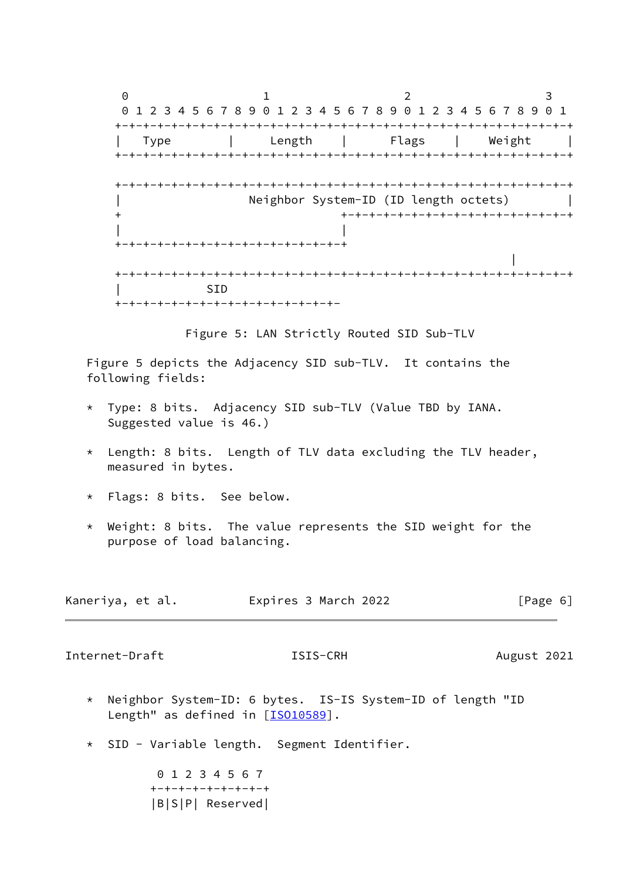$0$  1 2 3 0 1 2 3 4 5 6 7 8 9 0 1 2 3 4 5 6 7 8 9 0 1 2 3 4 5 6 7 8 9 0 1 +-+-+-+-+-+-+-+-+-+-+-+-+-+-+-+-+-+-+-+-+-+-+-+-+-+-+-+-+-+-+-+-+ | Type | Length | Flags | Weight | +-+-+-+-+-+-+-+-+-+-+-+-+-+-+-+-+-+-+-+-+-+-+-+-+-+-+-+-+-+-+-+-+ +-+-+-+-+-+-+-+-+-+-+-+-+-+-+-+-+-+-+-+-+-+-+-+-+-+-+-+-+-+-+-+-+ Neighbor System-ID (ID length octets) | + +-+-+-+-+-+-+-+-+-+-+-+-+-+-+-+-+ | | +-+-+-+-+-+-+-+-+-+-+-+-+-+-+-+-+ in the second contract of the second contract of the second contract of the second contract of the second contract of +-+-+-+-+-+-+-+-+-+-+-+-+-+-+-+-+-+-+-+-+-+-+-+-+-+-+-+-+-+-+-+-+ | SID +-+-+-+-+-+-+-+-+-+-+-+-+-+-+-+-

Figure 5: LAN Strictly Routed SID Sub-TLV

 Figure 5 depicts the Adjacency SID sub-TLV. It contains the following fields:

- \* Type: 8 bits. Adjacency SID sub-TLV (Value TBD by IANA. Suggested value is 46.)
- \* Length: 8 bits. Length of TLV data excluding the TLV header, measured in bytes.
- \* Flags: 8 bits. See below.
- \* Weight: 8 bits. The value represents the SID weight for the purpose of load balancing.

| Kaneriya, et al. | Expires 3 March 2022 | [Page 6] |
|------------------|----------------------|----------|
|------------------|----------------------|----------|

<span id="page-6-0"></span>Internet-Draft **ISIS-CRH** August 2021

- \* Neighbor System-ID: 6 bytes. IS-IS System-ID of length "ID Length" as defined in [\[ISO10589](#page-9-6)].
- \* SID Variable length. Segment Identifier.

 0 1 2 3 4 5 6 7 +-+-+-+-+-+-+-+-+ |B|S|P| Reserved|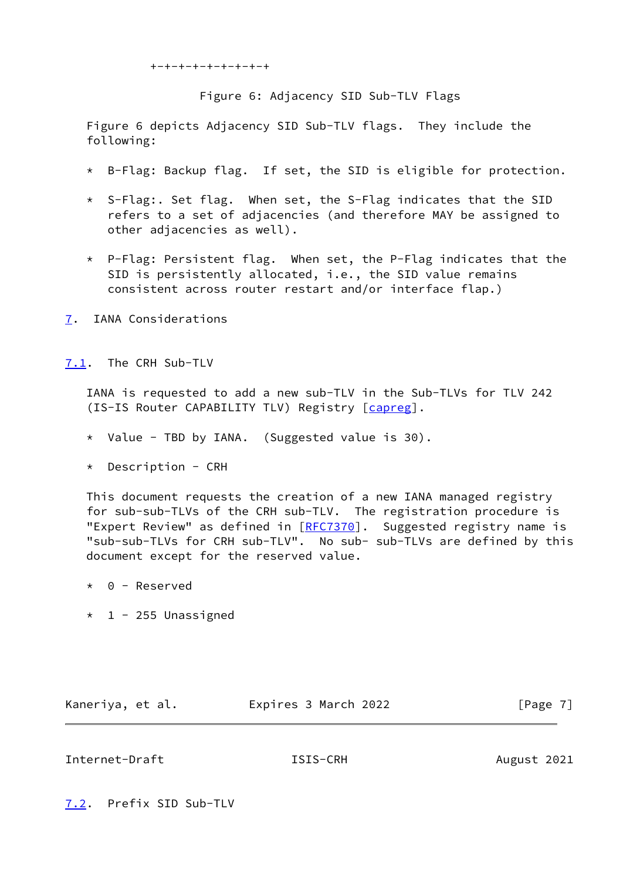```
 +-+-+-+-+-+-+-+-+
```
Figure 6: Adjacency SID Sub-TLV Flags

 Figure 6 depicts Adjacency SID Sub-TLV flags. They include the following:

- \* B-Flag: Backup flag. If set, the SID is eligible for protection.
- \* S-Flag:. Set flag. When set, the S-Flag indicates that the SID refers to a set of adjacencies (and therefore MAY be assigned to other adjacencies as well).
- \* P-Flag: Persistent flag. When set, the P-Flag indicates that the SID is persistently allocated, i.e., the SID value remains consistent across router restart and/or interface flap.)
- <span id="page-7-0"></span>[7](#page-7-0). IANA Considerations

<span id="page-7-1"></span>[7.1](#page-7-1). The CRH Sub-TLV

 IANA is requested to add a new sub-TLV in the Sub-TLVs for TLV 242 (IS-IS Router CAPABILITY TLV) Registry [\[capreg](#page-11-2)].

- \* Value TBD by IANA. (Suggested value is 30).
- \* Description CRH

 This document requests the creation of a new IANA managed registry for sub-sub-TLVs of the CRH sub-TLV. The registration procedure is "Expert Review" as defined in [[RFC7370](https://datatracker.ietf.org/doc/pdf/rfc7370)]. Suggested registry name is "sub-sub-TLVs for CRH sub-TLV". No sub- sub-TLVs are defined by this document except for the reserved value.

- \* 0 Reserved
- $*$  1 255 Unassigned

Kaneriya, et al. 
Expires 3 March 2022  $[Page 7]$ 

# <span id="page-7-3"></span>Internet-Draft **ISIS-CRH** August 2021

<span id="page-7-2"></span>[7.2](#page-7-2). Prefix SID Sub-TLV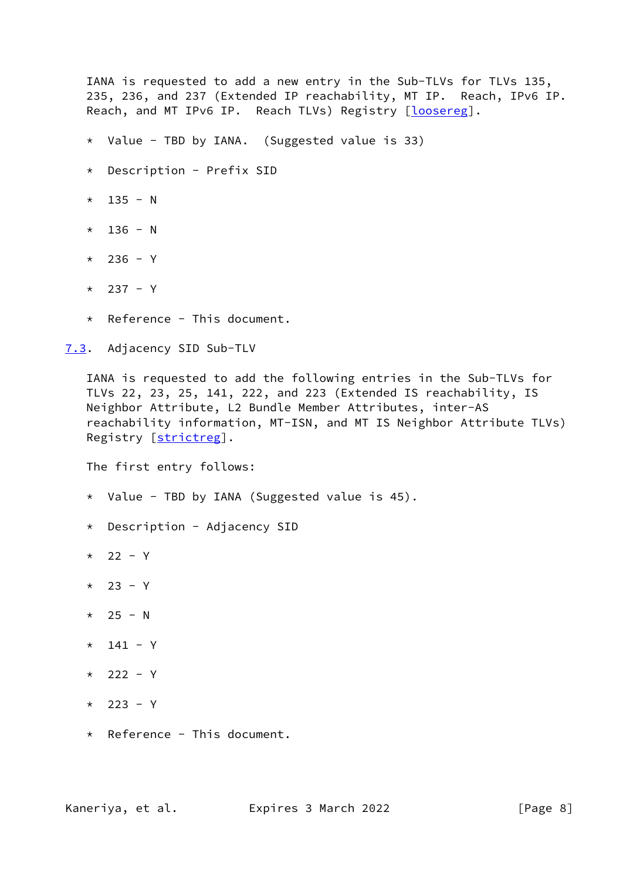IANA is requested to add a new entry in the Sub-TLVs for TLVs 135, 235, 236, and 237 (Extended IP reachability, MT IP. Reach, IPv6 IP. Reach, and MT IPv6 IP. Reach TLVs) Registry [\[loosereg](#page-11-3)].

- \* Value TBD by IANA. (Suggested value is 33)
- \* Description Prefix SID
- $*$  135 N
- $*$  136 N
- \* 236 Y
- $*$  237 Y
- \* Reference This document.

<span id="page-8-0"></span>[7.3](#page-8-0). Adjacency SID Sub-TLV

 IANA is requested to add the following entries in the Sub-TLVs for TLVs 22, 23, 25, 141, 222, and 223 (Extended IS reachability, IS Neighbor Attribute, L2 Bundle Member Attributes, inter-AS reachability information, MT-ISN, and MT IS Neighbor Attribute TLVs) Registry [\[strictreg\]](#page-11-4).

The first entry follows:

- \* Value TBD by IANA (Suggested value is 45).
- \* Description Adjacency SID
- \* 22 Y
- $*$  23 Y
- $*$  25 N
- $*$  141 Y
- $*$  222 Y
- \* 223 Y
- \* Reference This document.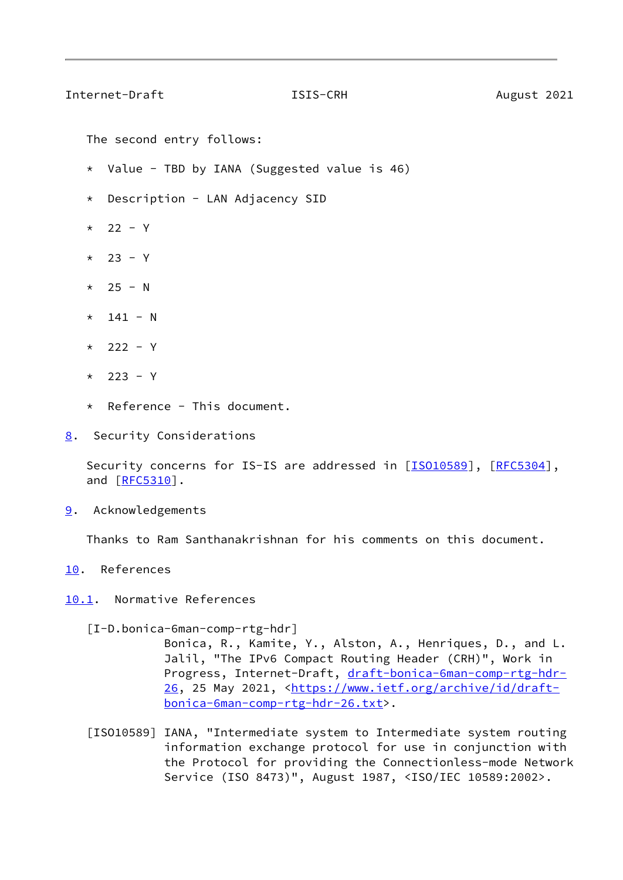### <span id="page-9-1"></span>Internet-Draft **ISIS-CRH** August 2021

The second entry follows:

- \* Value TBD by IANA (Suggested value is 46)
- \* Description LAN Adjacency SID
- \* 22 Y
- $*$  23 Y
- $*$  25 N
- $*$  141 N
- $*$  222 Y
- $*$  223 Y
- \* Reference This document.
- <span id="page-9-0"></span>[8](#page-9-0). Security Considerations

Security concerns for IS-IS are addressed in [\[ISO10589](#page-9-6)], [\[RFC5304](https://datatracker.ietf.org/doc/pdf/rfc5304)], and [\[RFC5310](https://datatracker.ietf.org/doc/pdf/rfc5310)].

<span id="page-9-2"></span>[9](#page-9-2). Acknowledgements

Thanks to Ram Santhanakrishnan for his comments on this document.

- <span id="page-9-3"></span>[10.](#page-9-3) References
- <span id="page-9-4"></span>[10.1](#page-9-4). Normative References

<span id="page-9-5"></span>[I-D.bonica-6man-comp-rtg-hdr]

 Bonica, R., Kamite, Y., Alston, A., Henriques, D., and L. Jalil, "The IPv6 Compact Routing Header (CRH)", Work in Progress, Internet-Draft, [draft-bonica-6man-comp-rtg-hdr-](https://datatracker.ietf.org/doc/pdf/draft-bonica-6man-comp-rtg-hdr-26) [26,](https://datatracker.ietf.org/doc/pdf/draft-bonica-6man-comp-rtg-hdr-26) 25 May 2021, [<https://www.ietf.org/archive/id/draft](https://www.ietf.org/archive/id/draft-bonica-6man-comp-rtg-hdr-26.txt) [bonica-6man-comp-rtg-hdr-26.txt](https://www.ietf.org/archive/id/draft-bonica-6man-comp-rtg-hdr-26.txt)>.

<span id="page-9-6"></span> [ISO10589] IANA, "Intermediate system to Intermediate system routing information exchange protocol for use in conjunction with the Protocol for providing the Connectionless-mode Network Service (ISO 8473)", August 1987, <ISO/IEC 10589:2002>.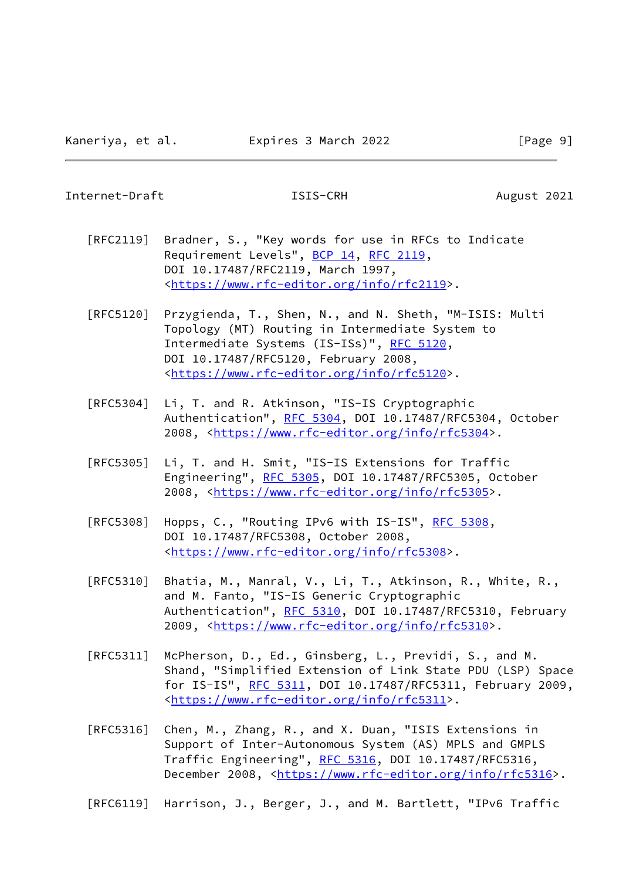### Internet-Draft **ISIS-CRH** August 2021

- [RFC2119] Bradner, S., "Key words for use in RFCs to Indicate Requirement Levels", [BCP 14](https://datatracker.ietf.org/doc/pdf/bcp14), [RFC 2119](https://datatracker.ietf.org/doc/pdf/rfc2119), DOI 10.17487/RFC2119, March 1997, <[https://www.rfc-editor.org/info/rfc2119>](https://www.rfc-editor.org/info/rfc2119).
- [RFC5120] Przygienda, T., Shen, N., and N. Sheth, "M-ISIS: Multi Topology (MT) Routing in Intermediate System to Intermediate Systems (IS-ISs)", [RFC 5120,](https://datatracker.ietf.org/doc/pdf/rfc5120) DOI 10.17487/RFC5120, February 2008, <[https://www.rfc-editor.org/info/rfc5120>](https://www.rfc-editor.org/info/rfc5120).
- [RFC5304] Li, T. and R. Atkinson, "IS-IS Cryptographic Authentication", [RFC 5304,](https://datatracker.ietf.org/doc/pdf/rfc5304) DOI 10.17487/RFC5304, October 2008, [<https://www.rfc-editor.org/info/rfc5304](https://www.rfc-editor.org/info/rfc5304)>.
- [RFC5305] Li, T. and H. Smit, "IS-IS Extensions for Traffic Engineering", [RFC 5305](https://datatracker.ietf.org/doc/pdf/rfc5305), DOI 10.17487/RFC5305, October 2008, [<https://www.rfc-editor.org/info/rfc5305](https://www.rfc-editor.org/info/rfc5305)>.
- [RFC5308] Hopps, C., "Routing IPv6 with IS-IS", [RFC 5308](https://datatracker.ietf.org/doc/pdf/rfc5308), DOI 10.17487/RFC5308, October 2008, <[https://www.rfc-editor.org/info/rfc5308>](https://www.rfc-editor.org/info/rfc5308).
- [RFC5310] Bhatia, M., Manral, V., Li, T., Atkinson, R., White, R., and M. Fanto, "IS-IS Generic Cryptographic Authentication", [RFC 5310,](https://datatracker.ietf.org/doc/pdf/rfc5310) DOI 10.17487/RFC5310, February 2009, [<https://www.rfc-editor.org/info/rfc5310](https://www.rfc-editor.org/info/rfc5310)>.
- [RFC5311] McPherson, D., Ed., Ginsberg, L., Previdi, S., and M. Shand, "Simplified Extension of Link State PDU (LSP) Space for IS-IS", [RFC 5311,](https://datatracker.ietf.org/doc/pdf/rfc5311) DOI 10.17487/RFC5311, February 2009, <[https://www.rfc-editor.org/info/rfc5311>](https://www.rfc-editor.org/info/rfc5311).
- [RFC5316] Chen, M., Zhang, R., and X. Duan, "ISIS Extensions in Support of Inter-Autonomous System (AS) MPLS and GMPLS Traffic Engineering", [RFC 5316](https://datatracker.ietf.org/doc/pdf/rfc5316), DOI 10.17487/RFC5316, December 2008, <<https://www.rfc-editor.org/info/rfc5316>>.
- [RFC6119] Harrison, J., Berger, J., and M. Bartlett, "IPv6 Traffic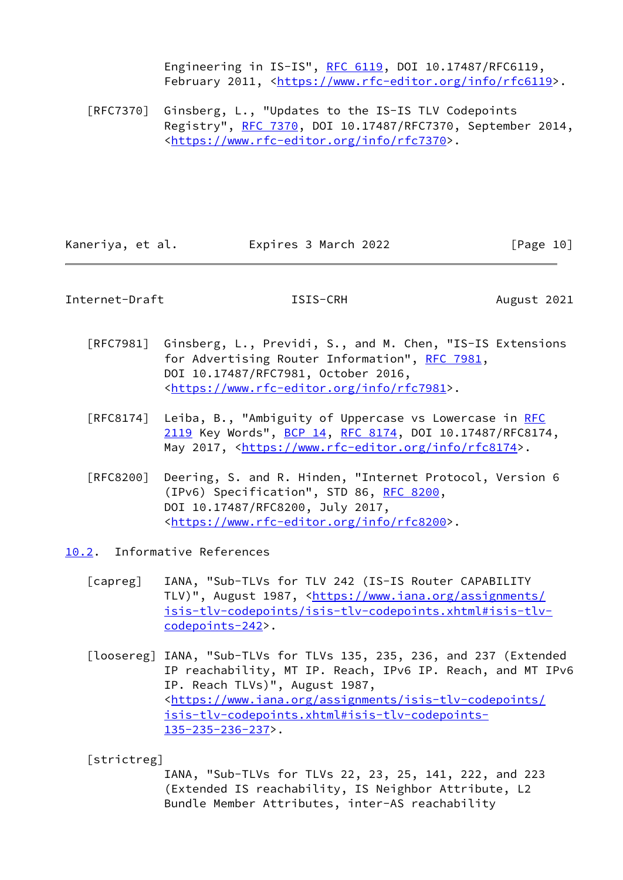Engineering in IS-IS", [RFC 6119](https://datatracker.ietf.org/doc/pdf/rfc6119), DOI 10.17487/RFC6119, February 2011, <<https://www.rfc-editor.org/info/rfc6119>>.

 [RFC7370] Ginsberg, L., "Updates to the IS-IS TLV Codepoints Registry", [RFC 7370](https://datatracker.ietf.org/doc/pdf/rfc7370), DOI 10.17487/RFC7370, September 2014, <[https://www.rfc-editor.org/info/rfc7370>](https://www.rfc-editor.org/info/rfc7370).

Kaneriya, et al. Expires 3 March 2022 [Page 10]

<span id="page-11-1"></span>Internet-Draft **ISIS-CRH ISIS-CRH** August 2021

- [RFC7981] Ginsberg, L., Previdi, S., and M. Chen, "IS-IS Extensions for Advertising Router Information", [RFC 7981](https://datatracker.ietf.org/doc/pdf/rfc7981), DOI 10.17487/RFC7981, October 2016, <[https://www.rfc-editor.org/info/rfc7981>](https://www.rfc-editor.org/info/rfc7981).
- [RFC8174] Leiba, B., "Ambiguity of Uppercase vs Lowercase in [RFC](https://datatracker.ietf.org/doc/pdf/rfc2119) [2119](https://datatracker.ietf.org/doc/pdf/rfc2119) Key Words", [BCP 14](https://datatracker.ietf.org/doc/pdf/bcp14), [RFC 8174,](https://datatracker.ietf.org/doc/pdf/rfc8174) DOI 10.17487/RFC8174, May 2017, [<https://www.rfc-editor.org/info/rfc8174](https://www.rfc-editor.org/info/rfc8174)>.
- [RFC8200] Deering, S. and R. Hinden, "Internet Protocol, Version 6 (IPv6) Specification", STD 86, [RFC 8200](https://datatracker.ietf.org/doc/pdf/rfc8200), DOI 10.17487/RFC8200, July 2017, <[https://www.rfc-editor.org/info/rfc8200>](https://www.rfc-editor.org/info/rfc8200).
- <span id="page-11-3"></span><span id="page-11-2"></span><span id="page-11-0"></span>[10.2](#page-11-0). Informative References
	- [capreg] IANA, "Sub-TLVs for TLV 242 (IS-IS Router CAPABILITY TLV)", August 1987, [<https://www.iana.org/assignments/](https://www.iana.org/assignments/isis-tlv-codepoints/isis-tlv-codepoints.xhtml#isis-tlv-codepoints-242) [isis-tlv-codepoints/isis-tlv-codepoints.xhtml#isis-tlv](https://www.iana.org/assignments/isis-tlv-codepoints/isis-tlv-codepoints.xhtml#isis-tlv-codepoints-242) [codepoints-242](https://www.iana.org/assignments/isis-tlv-codepoints/isis-tlv-codepoints.xhtml#isis-tlv-codepoints-242)>.
	- [loosereg] IANA, "Sub-TLVs for TLVs 135, 235, 236, and 237 (Extended IP reachability, MT IP. Reach, IPv6 IP. Reach, and MT IPv6 IP. Reach TLVs)", August 1987, <[https://www.iana.org/assignments/isis-tlv-codepoints/](https://www.iana.org/assignments/isis-tlv-codepoints/isis-tlv-codepoints.xhtml#isis-tlv-codepoints-135-235-236-237) [isis-tlv-codepoints.xhtml#isis-tlv-codepoints-](https://www.iana.org/assignments/isis-tlv-codepoints/isis-tlv-codepoints.xhtml#isis-tlv-codepoints-135-235-236-237) [135-235-236-237](https://www.iana.org/assignments/isis-tlv-codepoints/isis-tlv-codepoints.xhtml#isis-tlv-codepoints-135-235-236-237)>.

<span id="page-11-4"></span>[strictreg]

 IANA, "Sub-TLVs for TLVs 22, 23, 25, 141, 222, and 223 (Extended IS reachability, IS Neighbor Attribute, L2 Bundle Member Attributes, inter-AS reachability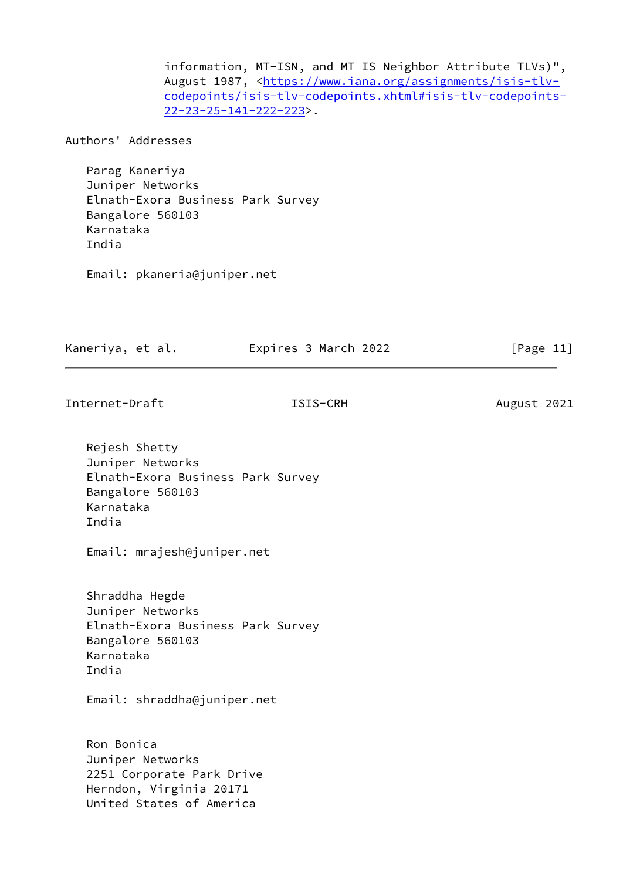information, MT-ISN, and MT IS Neighbor Attribute TLVs)", August 1987, [<https://www.iana.org/assignments/isis-tlv](https://www.iana.org/assignments/isis-tlv-codepoints/isis-tlv-codepoints.xhtml#isis-tlv-codepoints-22-23-25-141-222-223) [codepoints/isis-tlv-codepoints.xhtml#isis-tlv-codepoints-](https://www.iana.org/assignments/isis-tlv-codepoints/isis-tlv-codepoints.xhtml#isis-tlv-codepoints-22-23-25-141-222-223) [22-23-25-141-222-223>](https://www.iana.org/assignments/isis-tlv-codepoints/isis-tlv-codepoints.xhtml#isis-tlv-codepoints-22-23-25-141-222-223).

Authors' Addresses

 Parag Kaneriya Juniper Networks Elnath-Exora Business Park Survey Bangalore 560103 Karnataka India

Email: pkaneria@juniper.net

Kaneriya, et al. Expires 3 March 2022 [Page 11]

Internet-Draft **ISIS-CRH** August 2021

 Rejesh Shetty Juniper Networks Elnath-Exora Business Park Survey Bangalore 560103 Karnataka India

Email: mrajesh@juniper.net

 Shraddha Hegde Juniper Networks Elnath-Exora Business Park Survey Bangalore 560103 Karnataka India

Email: shraddha@juniper.net

 Ron Bonica Juniper Networks 2251 Corporate Park Drive Herndon, Virginia 20171 United States of America